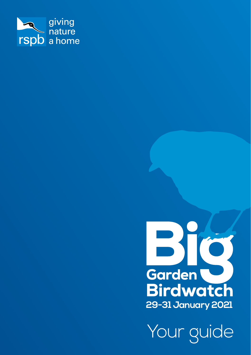



Your guide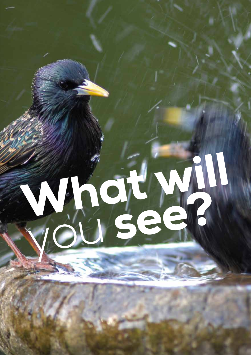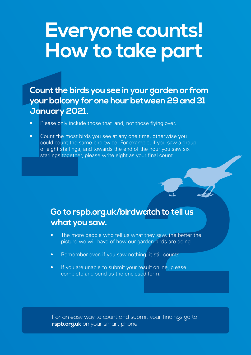## **Everyone counts! How to take part**

# Count the bird<br>your balcony<br>January 202<br>Please only include<br>Count the most b<br>could count the s<br>of eight starlings,<br>starlings together **Count the birds you see in your garden or from your balcony for one hour between 29 and 31 January 2021.**

- Please only include those that land, not those flying over.
- Count the most birds you see at any one time, otherwise you could count the same bird twice. For example, if you saw a group of eight starlings, and towards the end of the hour you saw six starlings together, please write eight as your final count.

# Watch to tell us<br>
hat they saw, the better the<br>
garden birds are doing.<br>
hing, it still counts.<br>
result online, please<br>
ssed form.<br>
bomit your findings go to **Go to rspb.org.uk/birdwatch to tell us what you saw.**

- The more people who tell us what they saw, the better the picture we will have of how our garden birds are doing.
- Remember even if you saw nothing, it still counts.
- If you are unable to submit your result online, please complete and send us the enclosed form.

For an easy way to count and submit your findings go to **rspb.org.uk** on your smart phone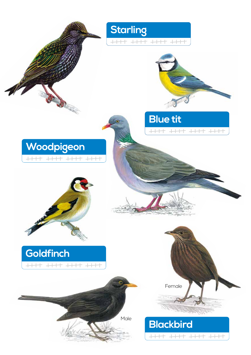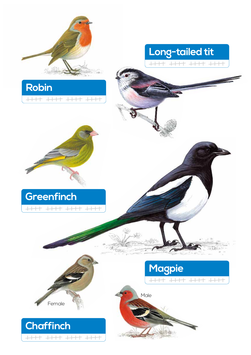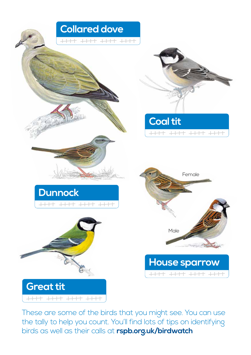

These are some of the birds that you might see. You can use the tally to help you count. You'll find lots of tips on identifying birds as well as their calls at **rspb.org.uk/birdwatch**